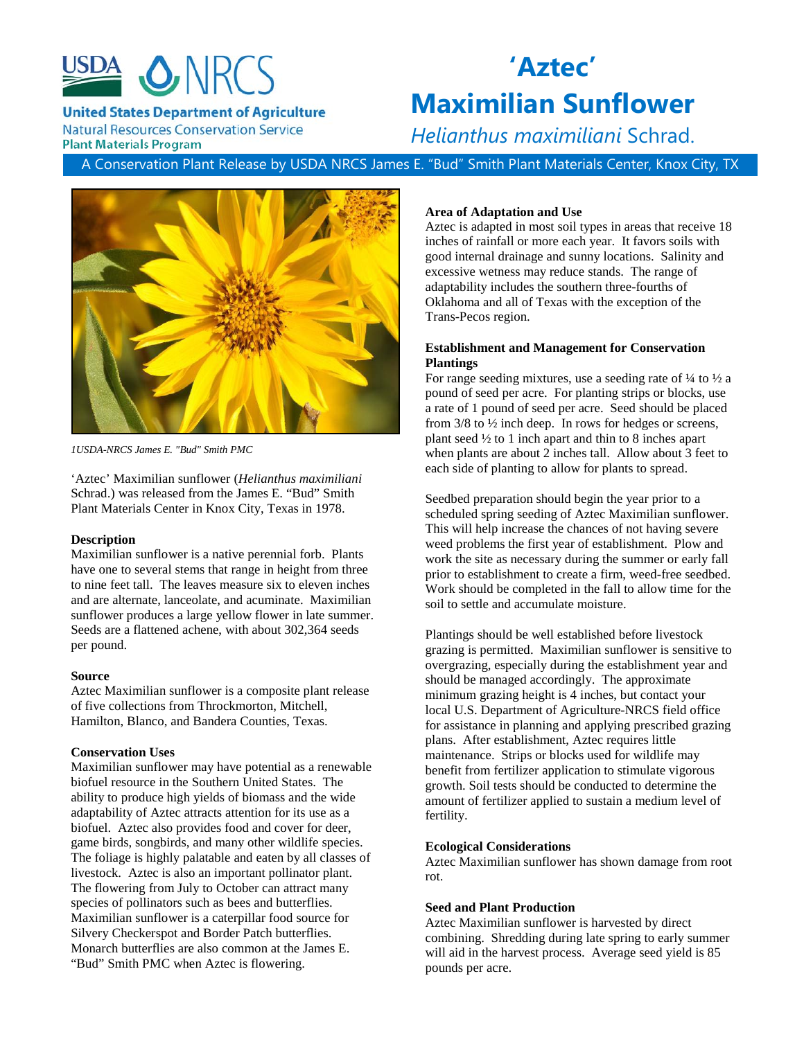

**United States Department of Agriculture** 

**Maximilian Sunflower** *Helianthus maximiliani* Schrad.

**Natural Resources Conservation Service Plant Materials Program** 

**'Aztec'**

A Conservation Plant Release by USDA NRCS James E. "Bud" Smith Plant Materials Center, Knox City, TX



*1USDA-NRCS James E. "Bud" Smith PMC*

'Aztec' Maximilian sunflower (*Helianthus maximiliani*  Schrad.) was released from the James E. "Bud" Smith Plant Materials Center in Knox City, Texas in 1978.

#### **Description**

Maximilian sunflower is a native perennial forb. Plants have one to several stems that range in height from three to nine feet tall. The leaves measure six to eleven inches and are alternate, lanceolate, and acuminate. Maximilian sunflower produces a large yellow flower in late summer. Seeds are a flattened achene, with about 302,364 seeds per pound.

#### **Source**

Aztec Maximilian sunflower is a composite plant release of five collections from Throckmorton, Mitchell, Hamilton, Blanco, and Bandera Counties, Texas.

# **Conservation Uses**

Maximilian sunflower may have potential as a renewable biofuel resource in the Southern United States. The ability to produce high yields of biomass and the wide adaptability of Aztec attracts attention for its use as a biofuel. Aztec also provides food and cover for deer, game birds, songbirds, and many other wildlife species. The foliage is highly palatable and eaten by all classes of livestock. Aztec is also an important pollinator plant. The flowering from July to October can attract many species of pollinators such as bees and butterflies. Maximilian sunflower is a caterpillar food source for Silvery Checkerspot and Border Patch butterflies. Monarch butterflies are also common at the James E. "Bud" Smith PMC when Aztec is flowering.

### **Area of Adaptation and Use**

Aztec is adapted in most soil types in areas that receive 18 inches of rainfall or more each year. It favors soils with good internal drainage and sunny locations. Salinity and excessive wetness may reduce stands. The range of adaptability includes the southern three-fourths of Oklahoma and all of Texas with the exception of the Trans-Pecos region.

# **Establishment and Management for Conservation Plantings**

For range seeding mixtures, use a seeding rate of  $\frac{1}{4}$  to  $\frac{1}{2}$  a pound of seed per acre. For planting strips or blocks, use a rate of 1 pound of seed per acre. Seed should be placed from 3/8 to ½ inch deep. In rows for hedges or screens, plant seed ½ to 1 inch apart and thin to 8 inches apart when plants are about 2 inches tall. Allow about 3 feet to each side of planting to allow for plants to spread.

Seedbed preparation should begin the year prior to a scheduled spring seeding of Aztec Maximilian sunflower. This will help increase the chances of not having severe weed problems the first year of establishment. Plow and work the site as necessary during the summer or early fall prior to establishment to create a firm, weed-free seedbed. Work should be completed in the fall to allow time for the soil to settle and accumulate moisture.

Plantings should be well established before livestock grazing is permitted. Maximilian sunflower is sensitive to overgrazing, especially during the establishment year and should be managed accordingly. The approximate minimum grazing height is 4 inches, but contact your local U.S. Department of Agriculture-NRCS field office for assistance in planning and applying prescribed grazing plans. After establishment, Aztec requires little maintenance. Strips or blocks used for wildlife may benefit from fertilizer application to stimulate vigorous growth. Soil tests should be conducted to determine the amount of fertilizer applied to sustain a medium level of fertility.

# **Ecological Considerations**

Aztec Maximilian sunflower has shown damage from root rot.

# **Seed and Plant Production**

Aztec Maximilian sunflower is harvested by direct combining. Shredding during late spring to early summer will aid in the harvest process. Average seed yield is 85 pounds per acre.